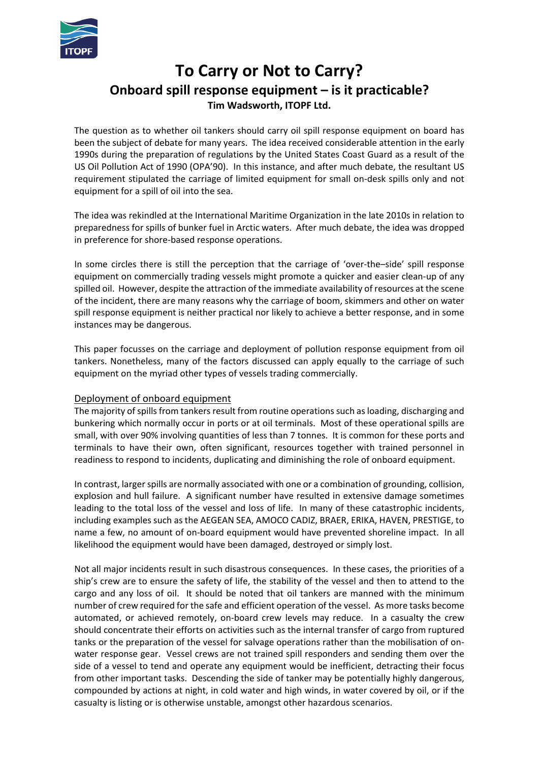

# **To Carry or Not to Carry? Onboard spill response equipment – is it practicable? Tim Wadsworth, ITOPF Ltd.**

The question as to whether oil tankers should carry oil spill response equipment on board has been the subject of debate for many years. The idea received considerable attention in the early 1990s during the preparation of regulations by the United States Coast Guard as a result of the US Oil Pollution Act of 1990 (OPA'90). In this instance, and after much debate, the resultant US requirement stipulated the carriage of limited equipment for small on‐desk spills only and not equipment for a spill of oil into the sea.

The idea was rekindled at the International Maritime Organization in the late 2010s in relation to preparedness for spills of bunker fuel in Arctic waters. After much debate, the idea was dropped in preference for shore‐based response operations.

In some circles there is still the perception that the carriage of 'over-the–side' spill response equipment on commercially trading vessels might promote a quicker and easier clean‐up of any spilled oil. However, despite the attraction of the immediate availability of resources at the scene of the incident, there are many reasons why the carriage of boom, skimmers and other on water spill response equipment is neither practical nor likely to achieve a better response, and in some instances may be dangerous.

This paper focusses on the carriage and deployment of pollution response equipment from oil tankers. Nonetheless, many of the factors discussed can apply equally to the carriage of such equipment on the myriad other types of vessels trading commercially.

## Deployment of onboard equipment

The majority of spills from tankers result from routine operations such as loading, discharging and bunkering which normally occur in ports or at oil terminals. Most of these operational spills are small, with over 90% involving quantities of less than 7 tonnes. It is common for these ports and terminals to have their own, often significant, resources together with trained personnel in readiness to respond to incidents, duplicating and diminishing the role of onboard equipment.

In contrast, larger spills are normally associated with one or a combination of grounding, collision, explosion and hull failure. A significant number have resulted in extensive damage sometimes leading to the total loss of the vessel and loss of life. In many of these catastrophic incidents, including examples such as the AEGEAN SEA, AMOCO CADIZ, BRAER, ERIKA, HAVEN, PRESTIGE, to name a few, no amount of on‐board equipment would have prevented shoreline impact. In all likelihood the equipment would have been damaged, destroyed or simply lost.

Not all major incidents result in such disastrous consequences. In these cases, the priorities of a ship's crew are to ensure the safety of life, the stability of the vessel and then to attend to the cargo and any loss of oil. It should be noted that oil tankers are manned with the minimum number of crew required for the safe and efficient operation of the vessel. As more tasks become automated, or achieved remotely, on-board crew levels may reduce. In a casualty the crew should concentrate their efforts on activities such as the internal transfer of cargo from ruptured tanks or the preparation of the vessel for salvage operations rather than the mobilisation of on‐ water response gear. Vessel crews are not trained spill responders and sending them over the side of a vessel to tend and operate any equipment would be inefficient, detracting their focus from other important tasks. Descending the side of tanker may be potentially highly dangerous, compounded by actions at night, in cold water and high winds, in water covered by oil, or if the casualty is listing or is otherwise unstable, amongst other hazardous scenarios.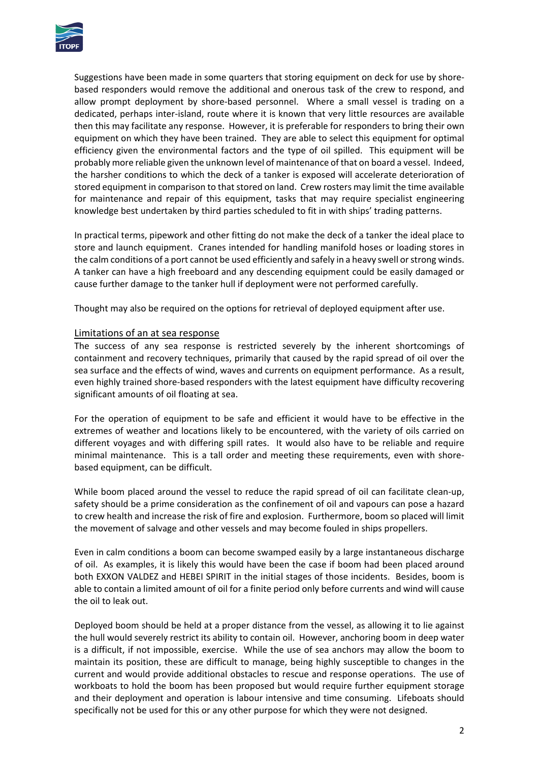

Suggestions have been made in some quarters that storing equipment on deck for use by shore‐ based responders would remove the additional and onerous task of the crew to respond, and allow prompt deployment by shore‐based personnel. Where a small vessel is trading on a dedicated, perhaps inter‐island, route where it is known that very little resources are available then this may facilitate any response. However, it is preferable for responders to bring their own equipment on which they have been trained. They are able to select this equipment for optimal efficiency given the environmental factors and the type of oil spilled. This equipment will be probably more reliable given the unknown level of maintenance of that on board a vessel. Indeed, the harsher conditions to which the deck of a tanker is exposed will accelerate deterioration of stored equipment in comparison to that stored on land. Crew rosters may limit the time available for maintenance and repair of this equipment, tasks that may require specialist engineering knowledge best undertaken by third parties scheduled to fit in with ships' trading patterns.

In practical terms, pipework and other fitting do not make the deck of a tanker the ideal place to store and launch equipment. Cranes intended for handling manifold hoses or loading stores in the calm conditions of a port cannot be used efficiently and safely in a heavy swell or strong winds. A tanker can have a high freeboard and any descending equipment could be easily damaged or cause further damage to the tanker hull if deployment were not performed carefully.

Thought may also be required on the options for retrieval of deployed equipment after use.

### Limitations of an at sea response

The success of any sea response is restricted severely by the inherent shortcomings of containment and recovery techniques, primarily that caused by the rapid spread of oil over the sea surface and the effects of wind, waves and currents on equipment performance. As a result, even highly trained shore-based responders with the latest equipment have difficulty recovering significant amounts of oil floating at sea.

For the operation of equipment to be safe and efficient it would have to be effective in the extremes of weather and locations likely to be encountered, with the variety of oils carried on different voyages and with differing spill rates. It would also have to be reliable and require minimal maintenance. This is a tall order and meeting these requirements, even with shore‐ based equipment, can be difficult.

While boom placed around the vessel to reduce the rapid spread of oil can facilitate clean-up, safety should be a prime consideration as the confinement of oil and vapours can pose a hazard to crew health and increase the risk of fire and explosion. Furthermore, boom so placed will limit the movement of salvage and other vessels and may become fouled in ships propellers.

Even in calm conditions a boom can become swamped easily by a large instantaneous discharge of oil. As examples, it is likely this would have been the case if boom had been placed around both EXXON VALDEZ and HEBEI SPIRIT in the initial stages of those incidents. Besides, boom is able to contain a limited amount of oil for a finite period only before currents and wind will cause the oil to leak out.

Deployed boom should be held at a proper distance from the vessel, as allowing it to lie against the hull would severely restrict its ability to contain oil. However, anchoring boom in deep water is a difficult, if not impossible, exercise. While the use of sea anchors may allow the boom to maintain its position, these are difficult to manage, being highly susceptible to changes in the current and would provide additional obstacles to rescue and response operations. The use of workboats to hold the boom has been proposed but would require further equipment storage and their deployment and operation is labour intensive and time consuming. Lifeboats should specifically not be used for this or any other purpose for which they were not designed.